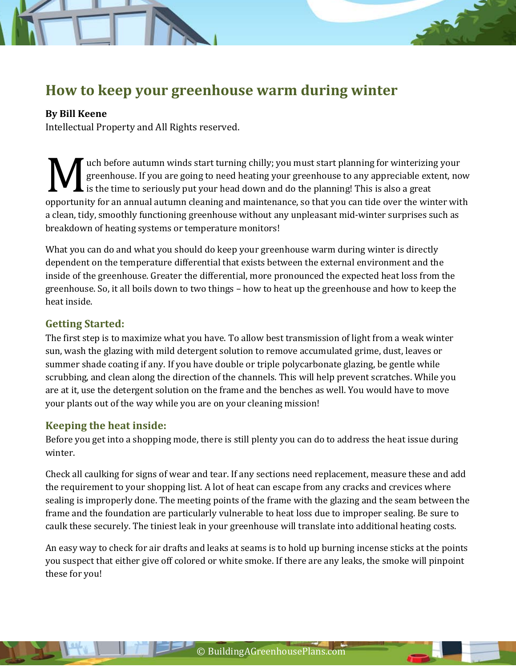# **How to keep your greenhouse warm during winter**

#### **By Bill Keene**

Intellectual Property and All Rights reserved.

uch before autumn winds start turning chilly; you must start planning for winterizing your greenhouse. If you are going to need heating your greenhouse to any appreciable extent, now  $\blacktriangle$  is the time to seriously put your head down and do the planning! This is also a great opportunity for an annual autumn cleaning and maintenance, so that you can tide over the winter with a clean tide over the winter with a clean tide over the winter with a clean tide over the winter with a clean tide over t a clean, tidy, smoothly functioning greenhouse without any unpleasant mid-winter surprises such as breakdown of heating systems or temperature monitors!

What you can do and what you should do keep your greenhouse warm during winter is directly dependent on the temperature differential that exists between the external environment and the inside of the greenhouse. Greater the differential, more pronounced the expected heat loss from the greenhouse. So, it all boils down to two things – how to heat up the greenhouse and how to keep the heat inside.

## **Getting Started:**

The first step is to maximize what you have. To allow best transmission of light from a weak winter sun, wash the glazing with mild detergent solution to remove accumulated grime, dust, leaves or summer shade coating if any. If you have double or triple polycarbonate glazing, be gentle while scrubbing, and clean along the direction of the channels. This will help prevent scratches. While you are at it, use the detergent solution on the frame and the benches as well. You would have to move your plants out of the way while you are on your cleaning mission!

## **Keeping the heat inside:**

Before you get into a shopping mode, there is still plenty you can do to address the heat issue during winter.

Check all caulking for signs of wear and tear. If any sections need replacement, measure these and add the requirement to your shopping list. A lot of heat can escape from any cracks and crevices where sealing is improperly done. The meeting points of the frame with the glazing and the seam between the frame and the foundation are particularly vulnerable to heat loss due to improper sealing. Be sure to caulk these securely. The tiniest leak in your greenhouse will translate into additional heating costs.

An easy way to check for air drafts and leaks at seams is to hold up burning incense sticks at the points you suspect that either give off colored or white smoke. If there are any leaks, the smoke will pinpoint these for you!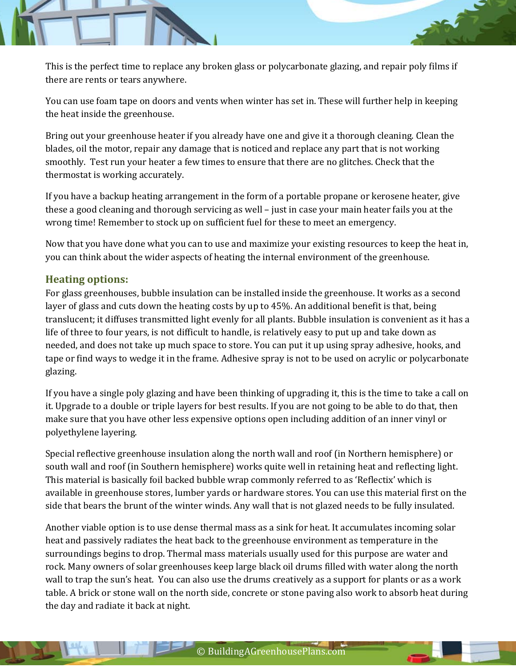

You can use foam tape on doors and vents when winter has set in. These will further help in keeping the heat inside the greenhouse.

Bring out your greenhouse heater if you already have one and give it a thorough cleaning. Clean the blades, oil the motor, repair any damage that is noticed and replace any part that is not working smoothly. Test run your heater a few times to ensure that there are no glitches. Check that the thermostat is working accurately.

If you have a backup heating arrangement in the form of a portable propane or kerosene heater, give these a good cleaning and thorough servicing as well – just in case your main heater fails you at the wrong time! Remember to stock up on sufficient fuel for these to meet an emergency.

Now that you have done what you can to use and maximize your existing resources to keep the heat in, you can think about the wider aspects of heating the internal environment of the greenhouse.

## **Heating options:**

For glass greenhouses, bubble insulation can be installed inside the greenhouse. It works as a second layer of glass and cuts down the heating costs by up to 45%. An additional benefit is that, being translucent; it diffuses transmitted light evenly for all plants. Bubble insulation is convenient as it has a life of three to four years, is not difficult to handle, is relatively easy to put up and take down as needed, and does not take up much space to store. You can put it up using spray adhesive, hooks, and tape or find ways to wedge it in the frame. Adhesive spray is not to be used on acrylic or polycarbonate glazing.

If you have a single poly glazing and have been thinking of upgrading it, this is the time to take a call on it. Upgrade to a double or triple layers for best results. If you are not going to be able to do that, then make sure that you have other less expensive options open including addition of an inner vinyl or polyethylene layering.

Special reflective greenhouse insulation along the north wall and roof (in Northern hemisphere) or south wall and roof (in Southern hemisphere) works quite well in retaining heat and reflecting light. This material is basically foil backed bubble wrap commonly referred to as 'Reflectix' which is available in greenhouse stores, lumber yards or hardware stores. You can use this material first on the side that bears the brunt of the winter winds. Any wall that is not glazed needs to be fully insulated.

Another viable option is to use dense thermal mass as a sink for heat. It accumulates incoming solar heat and passively radiates the heat back to the greenhouse environment as temperature in the surroundings begins to drop. Thermal mass materials usually used for this purpose are water and rock. Many owners of solar greenhouses keep large black oil drums filled with water along the north wall to trap the sun's heat. You can also use the drums creatively as a support for plants or as a work table. A brick or stone wall on the north side, concrete or stone paving also work to absorb heat during the day and radiate it back at night.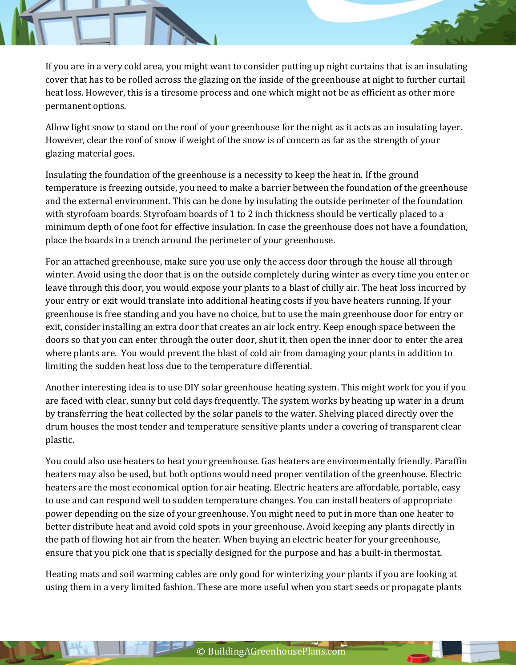If you are in a very cold area, you might want to consider putting up night curtains that is an insulating cover that has to be rolled across the glazing on the inside of the greenhouse at night to further curtail heat loss. However, this is a tiresome process and one which might not be as efficient as other more permanent options.

Allow light snow to stand on the roof of your greenhouse for the night as it acts as an insulating layer. However, clear the roof of snow if weight of the snow is of concern as far as the strength of your glazing material goes.

Insulating the foundation of the greenhouse is a necessity to keep the heat in. If the ground temperature is freezing outside, you need to make a barrier between the foundation of the greenhouse and the external environment. This can be done by insulating the outside perimeter of the foundation with styrofoam boards. Styrofoam boards of 1 to 2 inch thickness should be vertically placed to a minimum depth of one foot for effective insulation. In case the greenhouse does not have a foundation, place the boards in a trench around the perimeter of your greenhouse.

For an attached greenhouse, make sure you use only the access door through the house all through winter. Avoid using the door that is on the outside completely during winter as every time you enter or leave through this door, you would expose your plants to a blast of chilly air. The heat loss incurred by your entry or exit would translate into additional heating costs if you have heaters running. If your greenhouse is free standing and you have no choice, but to use the main greenhouse door for entry or exit, consider installing an extra door that creates an air lock entry. Keep enough space between the doors so that you can enter through the outer door, shut it, then open the inner door to enter the area where plants are. You would prevent the blast of cold air from damaging your plants in addition to limiting the sudden heat loss due to the temperature differential.

Another interesting idea is to use DIY solar greenhouse heating system. This might work for you if you are faced with clear, sunny but cold days frequently. The system works by heating up water in a drum by transferring the heat collected by the solar panels to the water. Shelving placed directly over the drum houses the most tender and temperature sensitive plants under a covering of transparent clear plastic.

You could also use heaters to heat your greenhouse. Gas heaters are environmentally friendly. Paraffin heaters may also be used, but both options would need proper ventilation of the greenhouse. Electric heaters are the most economical option for air heating. Electric heaters are affordable, portable, easy to use and can respond well to sudden temperature changes. You can install heaters of appropriate power depending on the size of your greenhouse. You might need to put in more than one heater to better distribute heat and avoid cold spots in your greenhouse. Avoid keeping any plants directly in the path of flowing hot air from the heater. When buying an electric heater for your greenhouse, ensure that you pick one that is specially designed for the purpose and has a built-in thermostat.

Heating mats and soil warming cables are only good for winterizing your plants if you are looking at using them in a very limited fashion. These are more useful when you start seeds or propagate plants